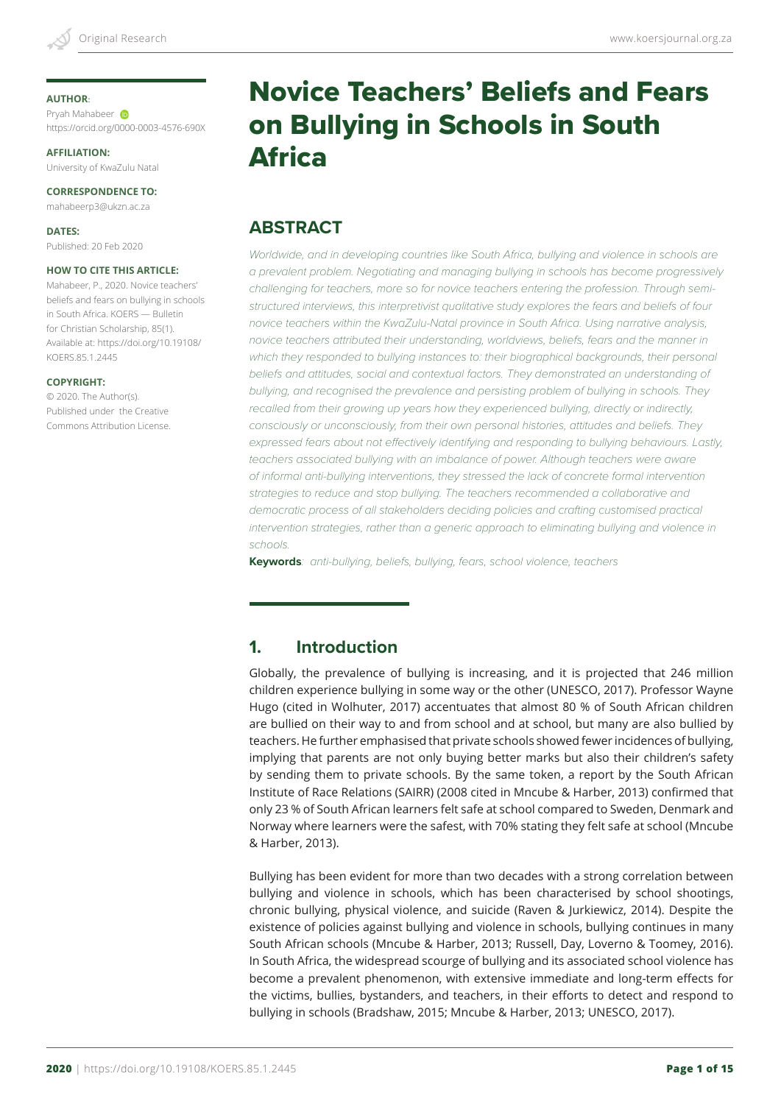#### **AUTHOR**:

Pryah Mahabeer **D** https://orcid.org/0000-0003-4576-690X

**AFFILIATION:** University of KwaZulu Natal

**CORRESPONDENCE TO:** mahabeerp3@ukzn.ac.za

**DATES:** Published: 20 Feb 2020

#### **HOW TO CITE THIS ARTICLE:**

Mahabeer, P., 2020. Novice teachers' beliefs and fears on bullying in schools in South Africa. KOERS — Bulletin for Christian Scholarship, 85(1). Available at: https://doi.org/10.19108/ KOERS.85.1.2445

#### **COPYRIGHT:**

© 2020. The Author(s). Published under the Creative Commons Attribution License.

# Novice Teachers' Beliefs and Fears on Bullying in Schools in South Africa

# **ABSTRACT**

*Worldwide, and in developing countries like South Africa, bullying and violence in schools are a prevalent problem. Negotiating and managing bullying in schools has become progressively challenging for teachers, more so for novice teachers entering the profession. Through semistructured interviews, this interpretivist qualitative study explores the fears and beliefs of four novice teachers within the KwaZulu-Natal province in South Africa. Using narrative analysis, novice teachers attributed their understanding, worldviews, beliefs, fears and the manner in which they responded to bullying instances to: their biographical backgrounds, their personal*  beliefs and attitudes, social and contextual factors. They demonstrated an understanding of *bullying, and recognised the prevalence and persisting problem of bullying in schools. They recalled from their growing up years how they experienced bullying, directly or indirectly, consciously or unconsciously, from their own personal histories, attitudes and beliefs. They expressed fears about not effectively identifying and responding to bullying behaviours. Lastly,*  teachers associated bullying with an imbalance of power. Although teachers were aware *of informal anti-bullying interventions, they stressed the lack of concrete formal intervention strategies to reduce and stop bullying. The teachers recommended a collaborative and*  democratic process of all stakeholders deciding policies and crafting customised practical *intervention strategies, rather than a generic approach to eliminating bullying and violence in schools.*

**Keywords***: anti-bullying, beliefs, bullying, fears, school violence, teachers*

# **1. Introduction**

Globally, the prevalence of bullying is increasing, and it is projected that 246 million children experience bullying in some way or the other (UNESCO, 2017). Professor Wayne Hugo (cited in Wolhuter, 2017) accentuates that almost 80 % of South African children are bullied on their way to and from school and at school, but many are also bullied by teachers. He further emphasised that private schools showed fewer incidences of bullying, implying that parents are not only buying better marks but also their children's safety by sending them to private schools. By the same token, a report by the South African Institute of Race Relations (SAIRR) (2008 cited in Mncube & Harber, 2013) confirmed that only 23 % of South African learners felt safe at school compared to Sweden, Denmark and Norway where learners were the safest, with 70% stating they felt safe at school (Mncube & Harber, 2013).

Bullying has been evident for more than two decades with a strong correlation between bullying and violence in schools, which has been characterised by school shootings, chronic bullying, physical violence, and suicide (Raven & Jurkiewicz, 2014). Despite the existence of policies against bullying and violence in schools, bullying continues in many South African schools (Mncube & Harber, 2013; Russell, Day, Loverno & Toomey, 2016). In South Africa, the widespread scourge of bullying and its associated school violence has become a prevalent phenomenon, with extensive immediate and long-term effects for the victims, bullies, bystanders, and teachers, in their efforts to detect and respond to bullying in schools (Bradshaw, 2015; Mncube & Harber, 2013; UNESCO, 2017).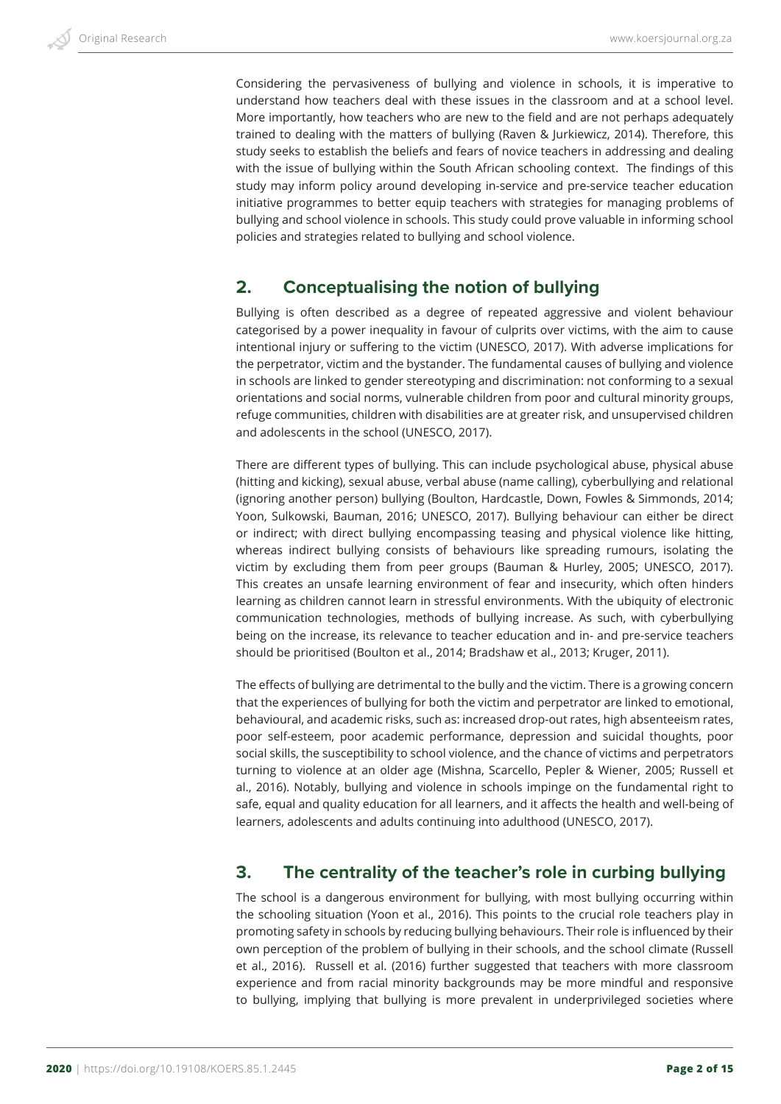Considering the pervasiveness of bullying and violence in schools, it is imperative to understand how teachers deal with these issues in the classroom and at a school level. More importantly, how teachers who are new to the field and are not perhaps adequately trained to dealing with the matters of bullying (Raven & Jurkiewicz, 2014). Therefore, this study seeks to establish the beliefs and fears of novice teachers in addressing and dealing with the issue of bullying within the South African schooling context. The findings of this study may inform policy around developing in-service and pre-service teacher education initiative programmes to better equip teachers with strategies for managing problems of bullying and school violence in schools. This study could prove valuable in informing school policies and strategies related to bullying and school violence.

# **2. Conceptualising the notion of bullying**

Bullying is often described as a degree of repeated aggressive and violent behaviour categorised by a power inequality in favour of culprits over victims, with the aim to cause intentional injury or suffering to the victim (UNESCO, 2017). With adverse implications for the perpetrator, victim and the bystander. The fundamental causes of bullying and violence in schools are linked to gender stereotyping and discrimination: not conforming to a sexual orientations and social norms, vulnerable children from poor and cultural minority groups, refuge communities, children with disabilities are at greater risk, and unsupervised children and adolescents in the school (UNESCO, 2017).

There are different types of bullying. This can include psychological abuse, physical abuse (hitting and kicking), sexual abuse, verbal abuse (name calling), cyberbullying and relational (ignoring another person) bullying (Boulton, Hardcastle, Down, Fowles & Simmonds, 2014; Yoon, Sulkowski, Bauman, 2016; UNESCO, 2017). Bullying behaviour can either be direct or indirect; with direct bullying encompassing teasing and physical violence like hitting, whereas indirect bullying consists of behaviours like spreading rumours, isolating the victim by excluding them from peer groups (Bauman & Hurley, 2005; UNESCO, 2017). This creates an unsafe learning environment of fear and insecurity, which often hinders learning as children cannot learn in stressful environments. With the ubiquity of electronic communication technologies, methods of bullying increase. As such, with cyberbullying being on the increase, its relevance to teacher education and in- and pre-service teachers should be prioritised (Boulton et al., 2014; Bradshaw et al., 2013; Kruger, 2011).

The effects of bullying are detrimental to the bully and the victim. There is a growing concern that the experiences of bullying for both the victim and perpetrator are linked to emotional, behavioural, and academic risks, such as: increased drop-out rates, high absenteeism rates, poor self-esteem, poor academic performance, depression and suicidal thoughts, poor social skills, the susceptibility to school violence, and the chance of victims and perpetrators turning to violence at an older age (Mishna, Scarcello, Pepler & Wiener, 2005; Russell et al., 2016). Notably, bullying and violence in schools impinge on the fundamental right to safe, equal and quality education for all learners, and it affects the health and well-being of learners, adolescents and adults continuing into adulthood (UNESCO, 2017).

# **3. The centrality of the teacher's role in curbing bullying**

The school is a dangerous environment for bullying, with most bullying occurring within the schooling situation (Yoon et al., 2016). This points to the crucial role teachers play in promoting safety in schools by reducing bullying behaviours. Their role is influenced by their own perception of the problem of bullying in their schools, and the school climate (Russell et al., 2016). Russell et al. (2016) further suggested that teachers with more classroom experience and from racial minority backgrounds may be more mindful and responsive to bullying, implying that bullying is more prevalent in underprivileged societies where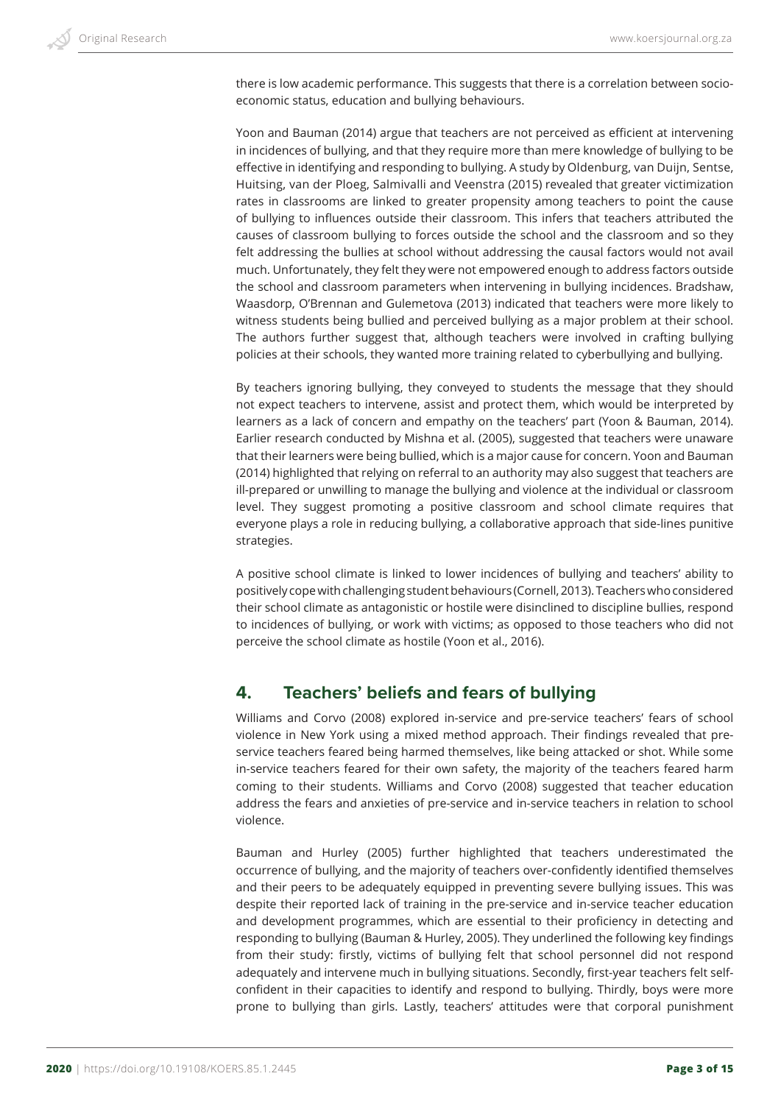there is low academic performance. This suggests that there is a correlation between socioeconomic status, education and bullying behaviours.

Yoon and Bauman (2014) argue that teachers are not perceived as efficient at intervening in incidences of bullying, and that they require more than mere knowledge of bullying to be effective in identifying and responding to bullying. A study by Oldenburg, van Duijn, Sentse, Huitsing, van der Ploeg, Salmivalli and Veenstra (2015) revealed that greater victimization rates in classrooms are linked to greater propensity among teachers to point the cause of bullying to influences outside their classroom. This infers that teachers attributed the causes of classroom bullying to forces outside the school and the classroom and so they felt addressing the bullies at school without addressing the causal factors would not avail much. Unfortunately, they felt they were not empowered enough to address factors outside the school and classroom parameters when intervening in bullying incidences. Bradshaw, Waasdorp, O'Brennan and Gulemetova (2013) indicated that teachers were more likely to witness students being bullied and perceived bullying as a major problem at their school. The authors further suggest that, although teachers were involved in crafting bullying policies at their schools, they wanted more training related to cyberbullying and bullying.

By teachers ignoring bullying, they conveyed to students the message that they should not expect teachers to intervene, assist and protect them, which would be interpreted by learners as a lack of concern and empathy on the teachers' part (Yoon & Bauman, 2014). Earlier research conducted by Mishna et al. (2005), suggested that teachers were unaware that their learners were being bullied, which is a major cause for concern. Yoon and Bauman (2014) highlighted that relying on referral to an authority may also suggest that teachers are ill-prepared or unwilling to manage the bullying and violence at the individual or classroom level. They suggest promoting a positive classroom and school climate requires that everyone plays a role in reducing bullying, a collaborative approach that side-lines punitive strategies.

A positive school climate is linked to lower incidences of bullying and teachers' ability to positively cope with challenging student behaviours (Cornell, 2013). Teachers who considered their school climate as antagonistic or hostile were disinclined to discipline bullies, respond to incidences of bullying, or work with victims; as opposed to those teachers who did not perceive the school climate as hostile (Yoon et al., 2016).

# **4. Teachers' beliefs and fears of bullying**

Williams and Corvo (2008) explored in-service and pre-service teachers' fears of school violence in New York using a mixed method approach. Their findings revealed that preservice teachers feared being harmed themselves, like being attacked or shot. While some in-service teachers feared for their own safety, the majority of the teachers feared harm coming to their students. Williams and Corvo (2008) suggested that teacher education address the fears and anxieties of pre-service and in-service teachers in relation to school violence.

Bauman and Hurley (2005) further highlighted that teachers underestimated the occurrence of bullying, and the majority of teachers over-confidently identified themselves and their peers to be adequately equipped in preventing severe bullying issues. This was despite their reported lack of training in the pre-service and in-service teacher education and development programmes, which are essential to their proficiency in detecting and responding to bullying (Bauman & Hurley, 2005). They underlined the following key findings from their study: firstly, victims of bullying felt that school personnel did not respond adequately and intervene much in bullying situations. Secondly, first-year teachers felt selfconfident in their capacities to identify and respond to bullying. Thirdly, boys were more prone to bullying than girls. Lastly, teachers' attitudes were that corporal punishment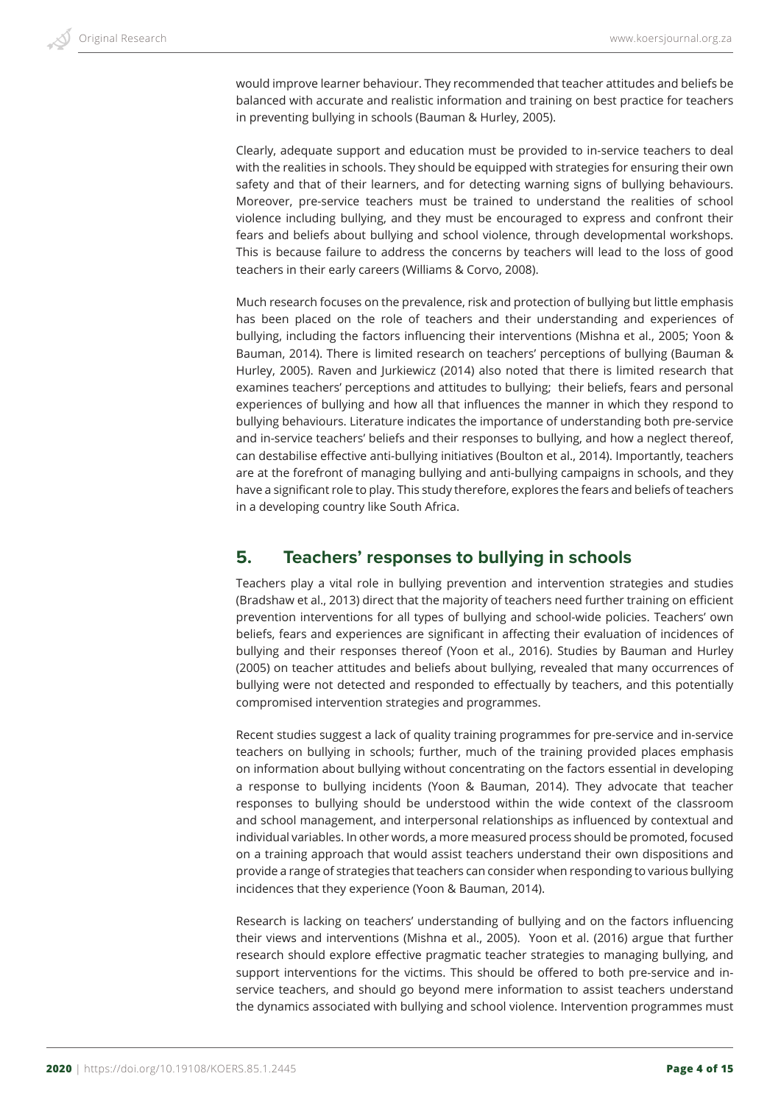would improve learner behaviour. They recommended that teacher attitudes and beliefs be balanced with accurate and realistic information and training on best practice for teachers in preventing bullying in schools (Bauman & Hurley, 2005).

Clearly, adequate support and education must be provided to in-service teachers to deal with the realities in schools. They should be equipped with strategies for ensuring their own safety and that of their learners, and for detecting warning signs of bullying behaviours. Moreover, pre-service teachers must be trained to understand the realities of school violence including bullying, and they must be encouraged to express and confront their fears and beliefs about bullying and school violence, through developmental workshops. This is because failure to address the concerns by teachers will lead to the loss of good teachers in their early careers (Williams & Corvo, 2008).

Much research focuses on the prevalence, risk and protection of bullying but little emphasis has been placed on the role of teachers and their understanding and experiences of bullying, including the factors influencing their interventions (Mishna et al., 2005; Yoon & Bauman, 2014). There is limited research on teachers' perceptions of bullying (Bauman & Hurley, 2005). Raven and Jurkiewicz (2014) also noted that there is limited research that examines teachers' perceptions and attitudes to bullying; their beliefs, fears and personal experiences of bullying and how all that influences the manner in which they respond to bullying behaviours. Literature indicates the importance of understanding both pre-service and in-service teachers' beliefs and their responses to bullying, and how a neglect thereof, can destabilise effective anti-bullying initiatives (Boulton et al., 2014). Importantly, teachers are at the forefront of managing bullying and anti-bullying campaigns in schools, and they have a significant role to play. This study therefore, explores the fears and beliefs of teachers in a developing country like South Africa.

# **5. Teachers' responses to bullying in schools**

Teachers play a vital role in bullying prevention and intervention strategies and studies (Bradshaw et al., 2013) direct that the majority of teachers need further training on efficient prevention interventions for all types of bullying and school-wide policies. Teachers' own beliefs, fears and experiences are significant in affecting their evaluation of incidences of bullying and their responses thereof (Yoon et al., 2016). Studies by Bauman and Hurley (2005) on teacher attitudes and beliefs about bullying, revealed that many occurrences of bullying were not detected and responded to effectually by teachers, and this potentially compromised intervention strategies and programmes.

Recent studies suggest a lack of quality training programmes for pre-service and in-service teachers on bullying in schools; further, much of the training provided places emphasis on information about bullying without concentrating on the factors essential in developing a response to bullying incidents (Yoon & Bauman, 2014). They advocate that teacher responses to bullying should be understood within the wide context of the classroom and school management, and interpersonal relationships as influenced by contextual and individual variables. In other words, a more measured process should be promoted, focused on a training approach that would assist teachers understand their own dispositions and provide a range of strategies that teachers can consider when responding to various bullying incidences that they experience (Yoon & Bauman, 2014).

Research is lacking on teachers' understanding of bullying and on the factors influencing their views and interventions (Mishna et al., 2005). Yoon et al. (2016) argue that further research should explore effective pragmatic teacher strategies to managing bullying, and support interventions for the victims. This should be offered to both pre-service and inservice teachers, and should go beyond mere information to assist teachers understand the dynamics associated with bullying and school violence. Intervention programmes must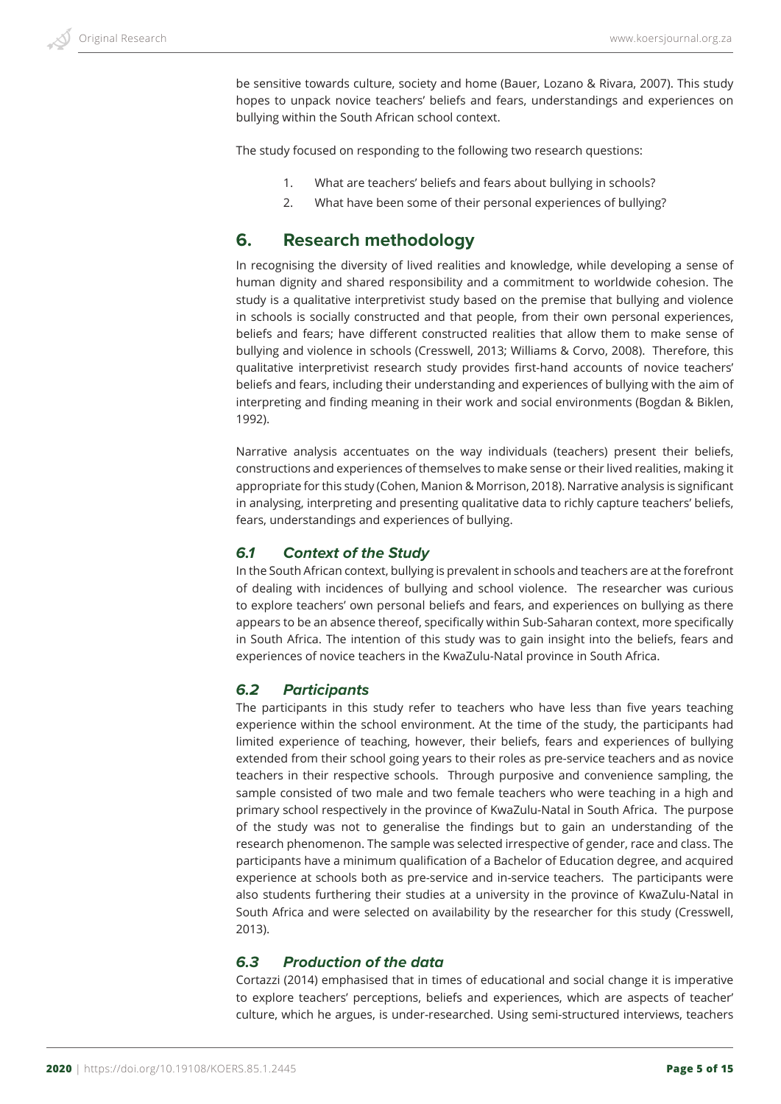be sensitive towards culture, society and home (Bauer, Lozano & Rivara, 2007). This study hopes to unpack novice teachers' beliefs and fears, understandings and experiences on bullying within the South African school context.

The study focused on responding to the following two research questions:

- 1. What are teachers' beliefs and fears about bullying in schools?
- 2. What have been some of their personal experiences of bullying?

### **6. Research methodology**

In recognising the diversity of lived realities and knowledge, while developing a sense of human dignity and shared responsibility and a commitment to worldwide cohesion. The study is a qualitative interpretivist study based on the premise that bullying and violence in schools is socially constructed and that people, from their own personal experiences, beliefs and fears; have different constructed realities that allow them to make sense of bullying and violence in schools (Cresswell, 2013; Williams & Corvo, 2008). Therefore, this qualitative interpretivist research study provides first-hand accounts of novice teachers' beliefs and fears, including their understanding and experiences of bullying with the aim of interpreting and finding meaning in their work and social environments (Bogdan & Biklen, 1992).

Narrative analysis accentuates on the way individuals (teachers) present their beliefs, constructions and experiences of themselves to make sense or their lived realities, making it appropriate for this study (Cohen, Manion & Morrison, 2018). Narrative analysis is significant in analysing, interpreting and presenting qualitative data to richly capture teachers' beliefs, fears, understandings and experiences of bullying.

#### *6.1 Context of the Study*

In the South African context, bullying is prevalent in schools and teachers are at the forefront of dealing with incidences of bullying and school violence. The researcher was curious to explore teachers' own personal beliefs and fears, and experiences on bullying as there appears to be an absence thereof, specifically within Sub-Saharan context, more specifically in South Africa. The intention of this study was to gain insight into the beliefs, fears and experiences of novice teachers in the KwaZulu-Natal province in South Africa.

#### *6.2 Participants*

The participants in this study refer to teachers who have less than five years teaching experience within the school environment. At the time of the study, the participants had limited experience of teaching, however, their beliefs, fears and experiences of bullying extended from their school going years to their roles as pre-service teachers and as novice teachers in their respective schools. Through purposive and convenience sampling, the sample consisted of two male and two female teachers who were teaching in a high and primary school respectively in the province of KwaZulu-Natal in South Africa. The purpose of the study was not to generalise the findings but to gain an understanding of the research phenomenon. The sample was selected irrespective of gender, race and class. The participants have a minimum qualification of a Bachelor of Education degree, and acquired experience at schools both as pre-service and in-service teachers. The participants were also students furthering their studies at a university in the province of KwaZulu-Natal in South Africa and were selected on availability by the researcher for this study (Cresswell, 2013).

#### *6.3 Production of the data*

Cortazzi (2014) emphasised that in times of educational and social change it is imperative to explore teachers' perceptions, beliefs and experiences, which are aspects of teacher' culture, which he argues, is under-researched. Using semi-structured interviews, teachers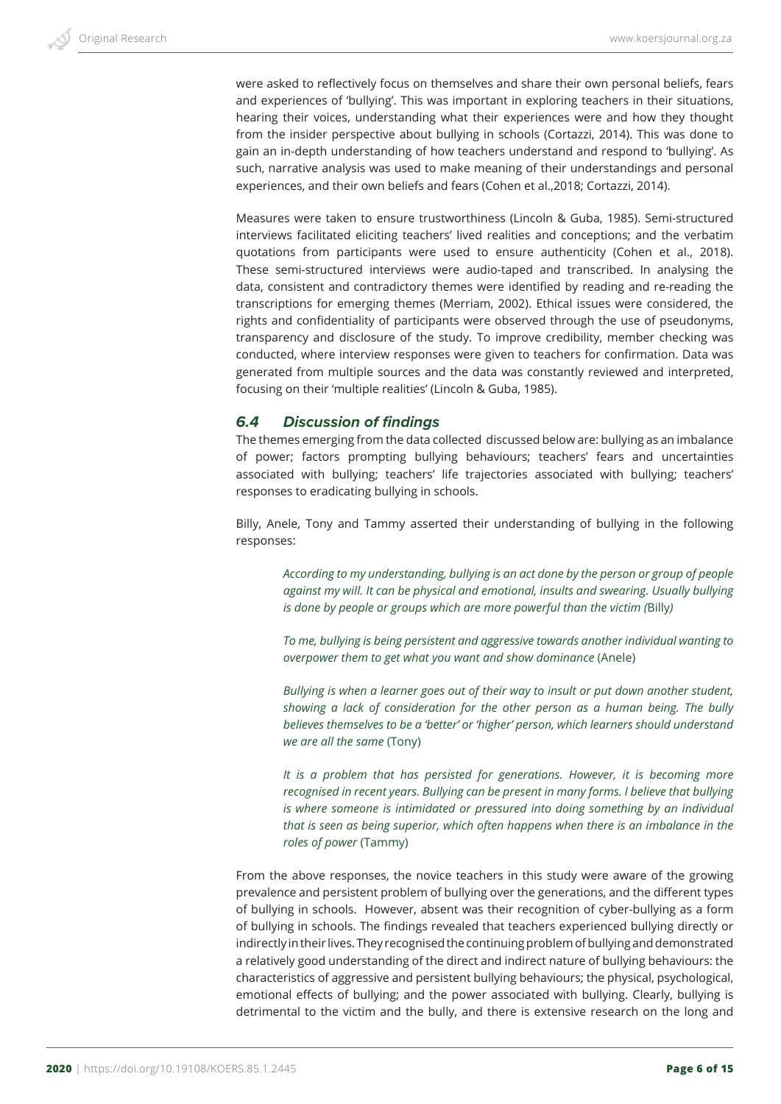were asked to reflectively focus on themselves and share their own personal beliefs, fears and experiences of 'bullying'. This was important in exploring teachers in their situations, hearing their voices, understanding what their experiences were and how they thought from the insider perspective about bullying in schools (Cortazzi, 2014). This was done to gain an in-depth understanding of how teachers understand and respond to 'bullying'. As such, narrative analysis was used to make meaning of their understandings and personal experiences, and their own beliefs and fears (Cohen et al.,2018; Cortazzi, 2014).

Measures were taken to ensure trustworthiness (Lincoln & Guba, 1985). Semi-structured interviews facilitated eliciting teachers' lived realities and conceptions; and the verbatim quotations from participants were used to ensure authenticity (Cohen et al., 2018). These semi-structured interviews were audio-taped and transcribed. In analysing the data, consistent and contradictory themes were identified by reading and re-reading the transcriptions for emerging themes (Merriam, 2002). Ethical issues were considered, the rights and confidentiality of participants were observed through the use of pseudonyms, transparency and disclosure of the study. To improve credibility, member checking was conducted, where interview responses were given to teachers for confirmation. Data was generated from multiple sources and the data was constantly reviewed and interpreted, focusing on their 'multiple realities' (Lincoln & Guba, 1985).

#### *6.4 Discussion of findings*

The themes emerging from the data collected discussed below are: bullying as an imbalance of power; factors prompting bullying behaviours; teachers' fears and uncertainties associated with bullying; teachers' life trajectories associated with bullying; teachers' responses to eradicating bullying in schools.

Billy, Anele, Tony and Tammy asserted their understanding of bullying in the following responses:

*According to my understanding, bullying is an act done by the person or group of people against my will. It can be physical and emotional, insults and swearing. Usually bullying is done by people or groups which are more powerful than the victim (*Billy*)*

*To me, bullying is being persistent and aggressive towards another individual wanting to overpower them to get what you want and show dominance* (Anele)

*Bullying is when a learner goes out of their way to insult or put down another student, showing a lack of consideration for the other person as a human being. The bully believes themselves to be a 'better' or 'higher' person, which learners should understand we are all the same* (Tony)

*It is a problem that has persisted for generations. However, it is becoming more recognised in recent years. Bullying can be present in many forms. I believe that bullying is where someone is intimidated or pressured into doing something by an individual that is seen as being superior, which often happens when there is an imbalance in the roles of power* (Tammy)

From the above responses, the novice teachers in this study were aware of the growing prevalence and persistent problem of bullying over the generations, and the different types of bullying in schools. However, absent was their recognition of cyber-bullying as a form of bullying in schools. The findings revealed that teachers experienced bullying directly or indirectly in their lives. They recognised the continuing problem of bullying and demonstrated a relatively good understanding of the direct and indirect nature of bullying behaviours: the characteristics of aggressive and persistent bullying behaviours; the physical, psychological, emotional effects of bullying; and the power associated with bullying. Clearly, bullying is detrimental to the victim and the bully, and there is extensive research on the long and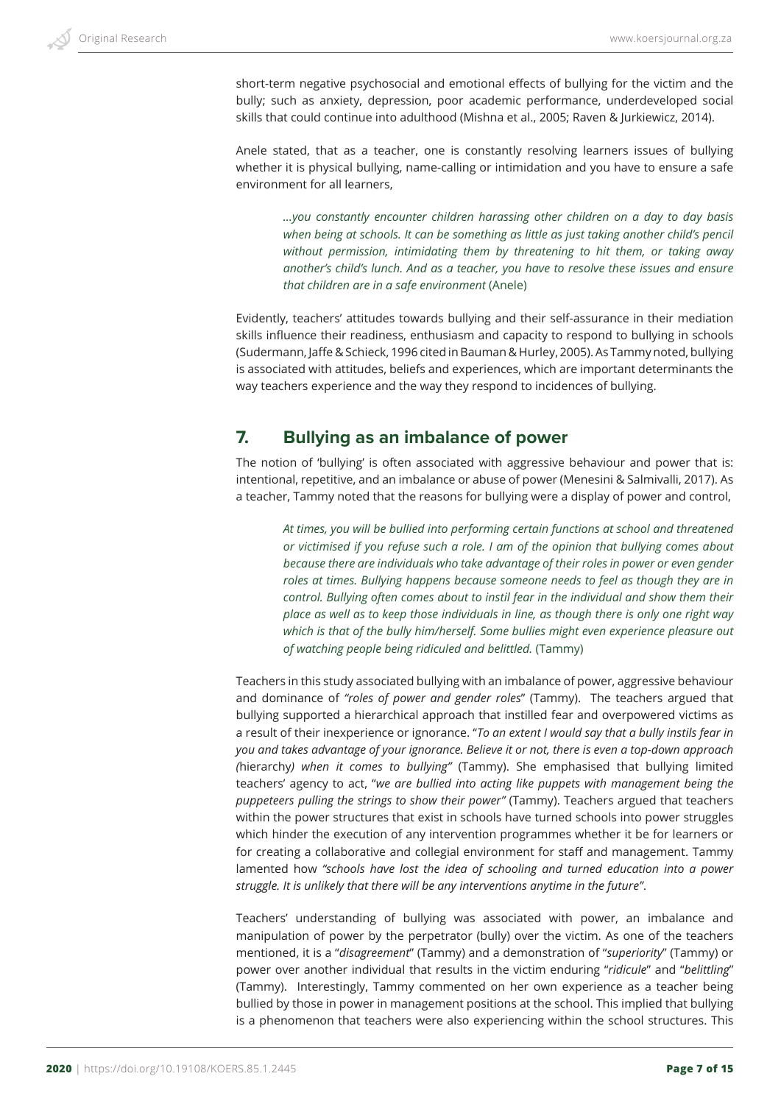short-term negative psychosocial and emotional effects of bullying for the victim and the bully; such as anxiety, depression, poor academic performance, underdeveloped social skills that could continue into adulthood (Mishna et al., 2005; Raven & Jurkiewicz, 2014).

Anele stated, that as a teacher, one is constantly resolving learners issues of bullying whether it is physical bullying, name-calling or intimidation and you have to ensure a safe environment for all learners,

*…you constantly encounter children harassing other children on a day to day basis*  when being at schools. It can be something as little as just taking another child's pencil *without permission, intimidating them by threatening to hit them, or taking away another's child's lunch. And as a teacher, you have to resolve these issues and ensure that children are in a safe environment* (Anele)

Evidently, teachers' attitudes towards bullying and their self-assurance in their mediation skills influence their readiness, enthusiasm and capacity to respond to bullying in schools (Sudermann, Jaffe & Schieck, 1996 cited in Bauman & Hurley, 2005). As Tammy noted, bullying is associated with attitudes, beliefs and experiences, which are important determinants the way teachers experience and the way they respond to incidences of bullying.

# **7. Bullying as an imbalance of power**

The notion of 'bullying' is often associated with aggressive behaviour and power that is: intentional, repetitive, and an imbalance or abuse of power (Menesini & Salmivalli, 2017). As a teacher, Tammy noted that the reasons for bullying were a display of power and control,

*At times, you will be bullied into performing certain functions at school and threatened or victimised if you refuse such a role. I am of the opinion that bullying comes about because there are individuals who take advantage of their roles in power or even gender roles at times. Bullying happens because someone needs to feel as though they are in control. Bullying often comes about to instil fear in the individual and show them their place as well as to keep those individuals in line, as though there is only one right way which is that of the bully him/herself. Some bullies might even experience pleasure out of watching people being ridiculed and belittled.* (Tammy)

Teachers in this study associated bullying with an imbalance of power, aggressive behaviour and dominance of *"roles of power and gender roles*" (Tammy). The teachers argued that bullying supported a hierarchical approach that instilled fear and overpowered victims as a result of their inexperience or ignorance. "*To an extent I would say that a bully instils fear in you and takes advantage of your ignorance. Believe it or not, there is even a top-down approach (*hierarchy*) when it comes to bullying"* (Tammy). She emphasised that bullying limited teachers' agency to act, "*we are bullied into acting like puppets with management being the puppeteers pulling the strings to show their power"* (Tammy). Teachers argued that teachers within the power structures that exist in schools have turned schools into power struggles which hinder the execution of any intervention programmes whether it be for learners or for creating a collaborative and collegial environment for staff and management. Tammy lamented how *"schools have lost the idea of schooling and turned education into a power struggle. It is unlikely that there will be any interventions anytime in the future"*.

Teachers' understanding of bullying was associated with power, an imbalance and manipulation of power by the perpetrator (bully) over the victim. As one of the teachers mentioned, it is a "*disagreement*" (Tammy) and a demonstration of "*superiority*" (Tammy) or power over another individual that results in the victim enduring "*ridicule*" and "*belittling*" (Tammy). Interestingly, Tammy commented on her own experience as a teacher being bullied by those in power in management positions at the school. This implied that bullying is a phenomenon that teachers were also experiencing within the school structures. This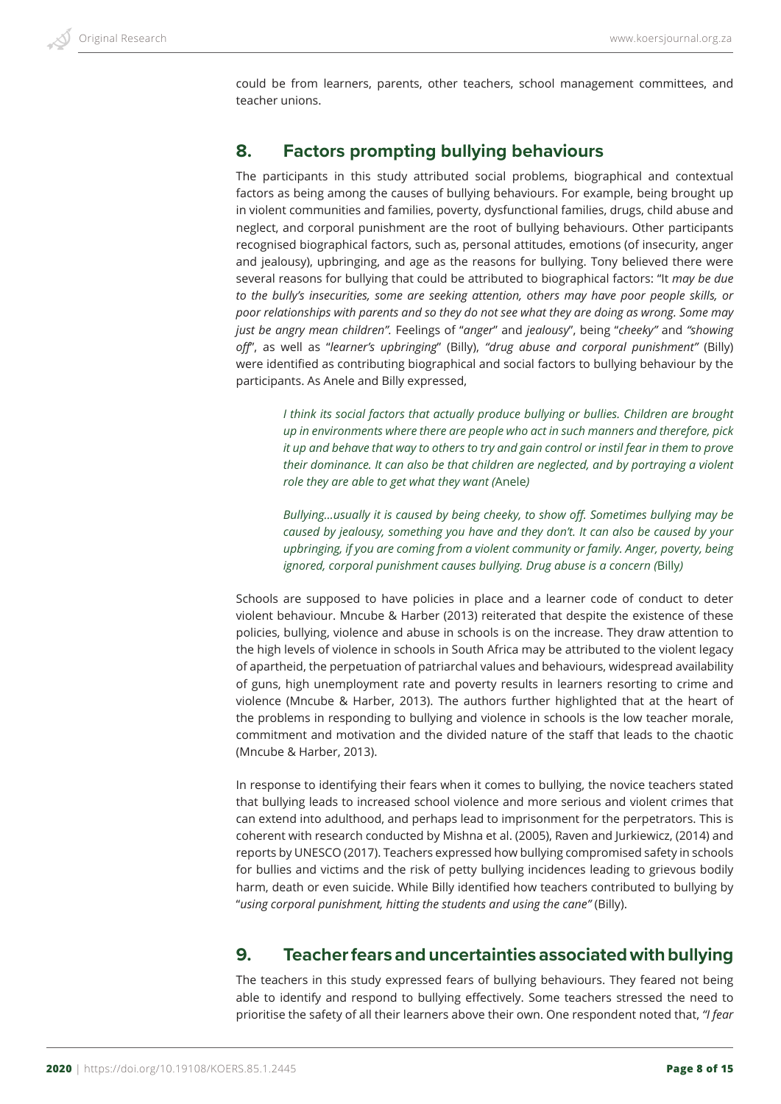

could be from learners, parents, other teachers, school management committees, and teacher unions.

# **8. Factors prompting bullying behaviours**

The participants in this study attributed social problems, biographical and contextual factors as being among the causes of bullying behaviours. For example, being brought up in violent communities and families, poverty, dysfunctional families, drugs, child abuse and neglect, and corporal punishment are the root of bullying behaviours. Other participants recognised biographical factors, such as, personal attitudes, emotions (of insecurity, anger and jealousy), upbringing, and age as the reasons for bullying. Tony believed there were several reasons for bullying that could be attributed to biographical factors: "It *may be due to the bully's insecurities, some are seeking attention, others may have poor people skills, or poor relationships with parents and so they do not see what they are doing as wrong. Some may just be angry mean children".* Feelings of "*anger*" and *jealousy*", being "*cheeky"* and *"showing off*", as well as "*learner's upbringing*" (Billy), *"drug abuse and corporal punishment"* (Billy) were identified as contributing biographical and social factors to bullying behaviour by the participants. As Anele and Billy expressed,

*I think its social factors that actually produce bullying or bullies. Children are brought up in environments where there are people who act in such manners and therefore, pick it up and behave that way to others to try and gain control or instil fear in them to prove their dominance. It can also be that children are neglected, and by portraying a violent role they are able to get what they want (*Anele*)* 

*Bullying…usually it is caused by being cheeky, to show off. Sometimes bullying may be caused by jealousy, something you have and they don't. It can also be caused by your upbringing, if you are coming from a violent community or family. Anger, poverty, being ignored, corporal punishment causes bullying. Drug abuse is a concern (*Billy*)*

Schools are supposed to have policies in place and a learner code of conduct to deter violent behaviour. Mncube & Harber (2013) reiterated that despite the existence of these policies, bullying, violence and abuse in schools is on the increase. They draw attention to the high levels of violence in schools in South Africa may be attributed to the violent legacy of apartheid, the perpetuation of patriarchal values and behaviours, widespread availability of guns, high unemployment rate and poverty results in learners resorting to crime and violence (Mncube & Harber, 2013). The authors further highlighted that at the heart of the problems in responding to bullying and violence in schools is the low teacher morale, commitment and motivation and the divided nature of the staff that leads to the chaotic (Mncube & Harber, 2013).

In response to identifying their fears when it comes to bullying, the novice teachers stated that bullying leads to increased school violence and more serious and violent crimes that can extend into adulthood, and perhaps lead to imprisonment for the perpetrators. This is coherent with research conducted by Mishna et al. (2005), Raven and Jurkiewicz, (2014) and reports by UNESCO (2017). Teachers expressed how bullying compromised safety in schools for bullies and victims and the risk of petty bullying incidences leading to grievous bodily harm, death or even suicide. While Billy identified how teachers contributed to bullying by "*using corporal punishment, hitting the students and using the cane"* (Billy).

# **9. Teacher fears and uncertainties associated with bullying**

The teachers in this study expressed fears of bullying behaviours. They feared not being able to identify and respond to bullying effectively. Some teachers stressed the need to prioritise the safety of all their learners above their own. One respondent noted that, *"I fear*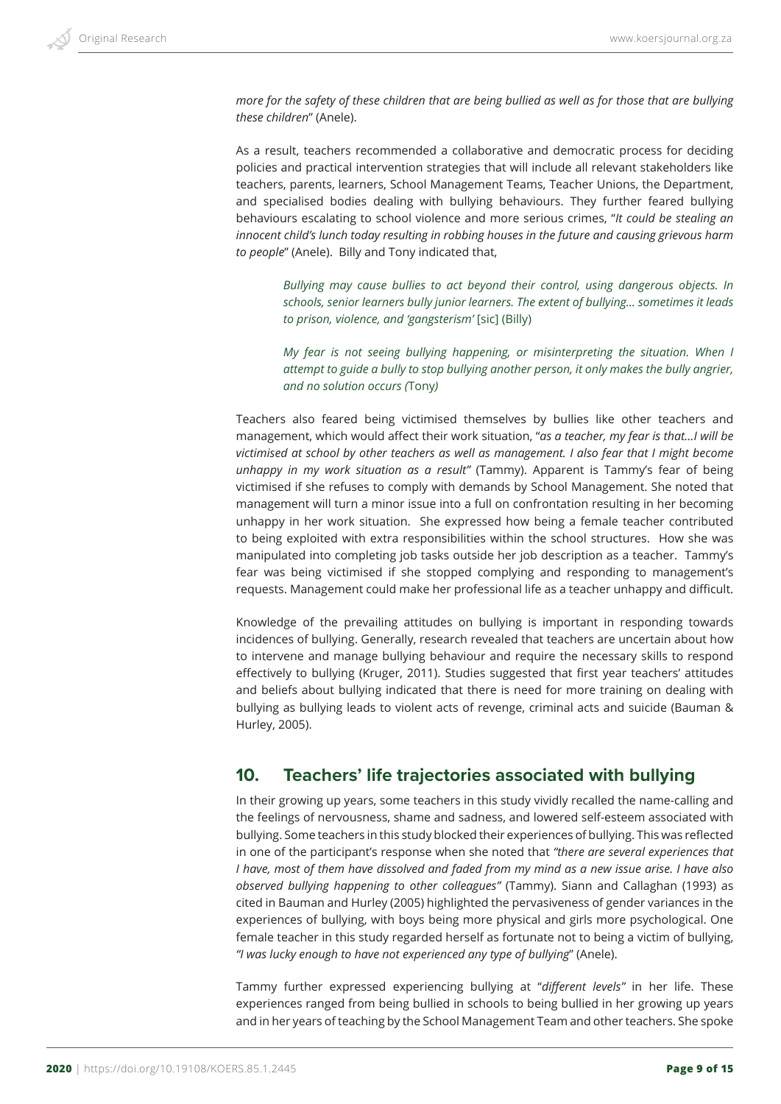*more for the safety of these children that are being bullied as well as for those that are bullying these children*" (Anele).

As a result, teachers recommended a collaborative and democratic process for deciding policies and practical intervention strategies that will include all relevant stakeholders like teachers, parents, learners, School Management Teams, Teacher Unions, the Department, and specialised bodies dealing with bullying behaviours. They further feared bullying behaviours escalating to school violence and more serious crimes, "*It could be stealing an innocent child's lunch today resulting in robbing houses in the future and causing grievous harm to people*" (Anele). Billy and Tony indicated that,

*Bullying may cause bullies to act beyond their control, using dangerous objects. In schools, senior learners bully junior learners. The extent of bullying… sometimes it leads to prison, violence, and 'gangsterism'* [sic] (Billy)

*My fear is not seeing bullying happening, or misinterpreting the situation. When I attempt to guide a bully to stop bullying another person, it only makes the bully angrier, and no solution occurs (*Tony*)*

Teachers also feared being victimised themselves by bullies like other teachers and management, which would affect their work situation, "*as a teacher, my fear is that…I will be victimised at school by other teachers as well as management. I also fear that I might become unhappy in my work situation as a result"* (Tammy). Apparent is Tammy's fear of being victimised if she refuses to comply with demands by School Management. She noted that management will turn a minor issue into a full on confrontation resulting in her becoming unhappy in her work situation. She expressed how being a female teacher contributed to being exploited with extra responsibilities within the school structures. How she was manipulated into completing job tasks outside her job description as a teacher. Tammy's fear was being victimised if she stopped complying and responding to management's requests. Management could make her professional life as a teacher unhappy and difficult.

Knowledge of the prevailing attitudes on bullying is important in responding towards incidences of bullying. Generally, research revealed that teachers are uncertain about how to intervene and manage bullying behaviour and require the necessary skills to respond effectively to bullying (Kruger, 2011). Studies suggested that first year teachers' attitudes and beliefs about bullying indicated that there is need for more training on dealing with bullying as bullying leads to violent acts of revenge, criminal acts and suicide (Bauman & Hurley, 2005).

# **10. Teachers' life trajectories associated with bullying**

In their growing up years, some teachers in this study vividly recalled the name-calling and the feelings of nervousness, shame and sadness, and lowered self-esteem associated with bullying. Some teachers in this study blocked their experiences of bullying. This was reflected in one of the participant's response when she noted that *"there are several experiences that I have, most of them have dissolved and faded from my mind as a new issue arise. I have also observed bullying happening to other colleagues"* (Tammy). Siann and Callaghan (1993) as cited in Bauman and Hurley (2005) highlighted the pervasiveness of gender variances in the experiences of bullying, with boys being more physical and girls more psychological. One female teacher in this study regarded herself as fortunate not to being a victim of bullying, *"I was lucky enough to have not experienced any type of bullying*" (Anele).

Tammy further expressed experiencing bullying at "*different levels"* in her life. These experiences ranged from being bullied in schools to being bullied in her growing up years and in her years of teaching by the School Management Team and other teachers. She spoke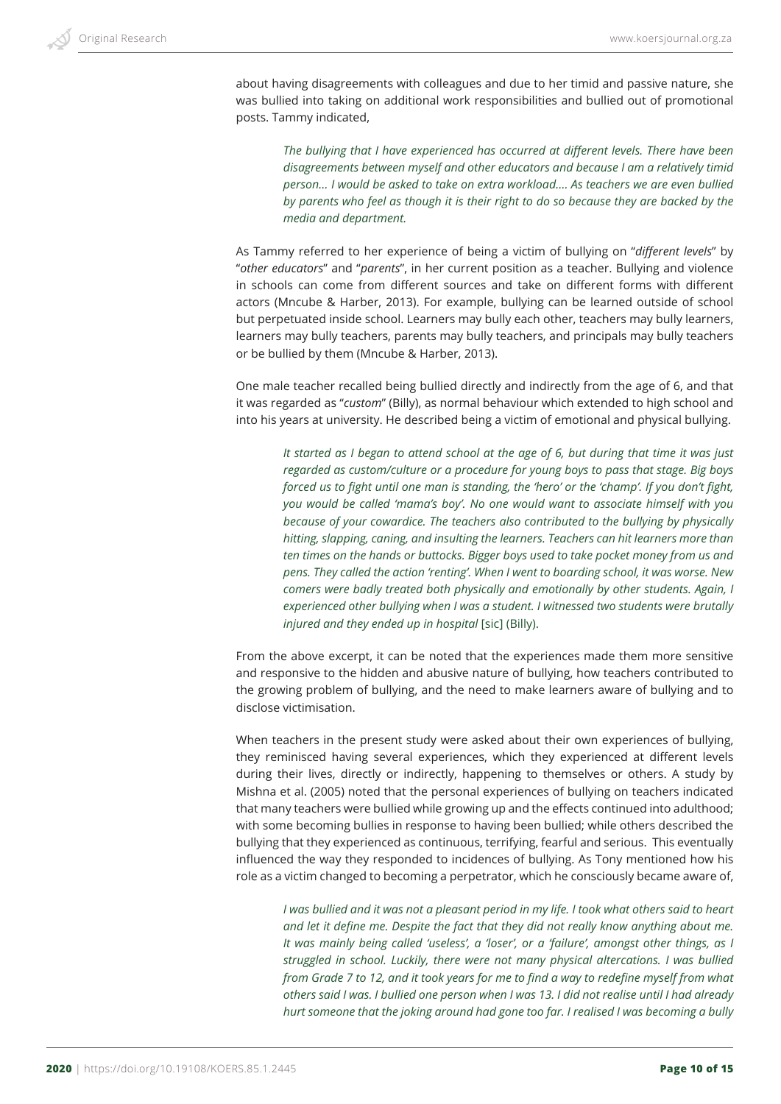about having disagreements with colleagues and due to her timid and passive nature, she was bullied into taking on additional work responsibilities and bullied out of promotional posts. Tammy indicated,

*The bullying that I have experienced has occurred at different levels. There have been disagreements between myself and other educators and because I am a relatively timid person… I would be asked to take on extra workload…. As teachers we are even bullied by parents who feel as though it is their right to do so because they are backed by the media and department.* 

As Tammy referred to her experience of being a victim of bullying on "*different levels*" by "*other educators*" and "*parents*", in her current position as a teacher. Bullying and violence in schools can come from different sources and take on different forms with different actors (Mncube & Harber, 2013). For example, bullying can be learned outside of school but perpetuated inside school. Learners may bully each other, teachers may bully learners, learners may bully teachers, parents may bully teachers, and principals may bully teachers or be bullied by them (Mncube & Harber, 2013).

One male teacher recalled being bullied directly and indirectly from the age of 6, and that it was regarded as "*custom*" (Billy), as normal behaviour which extended to high school and into his years at university. He described being a victim of emotional and physical bullying.

*It started as I began to attend school at the age of 6, but during that time it was just regarded as custom/culture or a procedure for young boys to pass that stage. Big boys forced us to fight until one man is standing, the 'hero' or the 'champ'. If you don't fight, you would be called 'mama's boy'. No one would want to associate himself with you because of your cowardice. The teachers also contributed to the bullying by physically hitting, slapping, caning, and insulting the learners. Teachers can hit learners more than ten times on the hands or buttocks. Bigger boys used to take pocket money from us and pens. They called the action 'renting'. When I went to boarding school, it was worse. New comers were badly treated both physically and emotionally by other students. Again, I experienced other bullying when I was a student. I witnessed two students were brutally injured and they ended up in hospital* [sic] (Billy).

From the above excerpt, it can be noted that the experiences made them more sensitive and responsive to the hidden and abusive nature of bullying, how teachers contributed to the growing problem of bullying, and the need to make learners aware of bullying and to disclose victimisation.

When teachers in the present study were asked about their own experiences of bullying, they reminisced having several experiences, which they experienced at different levels during their lives, directly or indirectly, happening to themselves or others. A study by Mishna et al. (2005) noted that the personal experiences of bullying on teachers indicated that many teachers were bullied while growing up and the effects continued into adulthood; with some becoming bullies in response to having been bullied; while others described the bullying that they experienced as continuous, terrifying, fearful and serious. This eventually influenced the way they responded to incidences of bullying. As Tony mentioned how his role as a victim changed to becoming a perpetrator, which he consciously became aware of,

*I was bullied and it was not a pleasant period in my life. I took what others said to heart and let it define me. Despite the fact that they did not really know anything about me. It was mainly being called 'useless', a 'loser', or a 'failure', amongst other things, as I struggled in school. Luckily, there were not many physical altercations. I was bullied from Grade 7 to 12, and it took years for me to find a way to redefine myself from what others said I was. I bullied one person when I was 13. I did not realise until I had already hurt someone that the joking around had gone too far. I realised I was becoming a bully*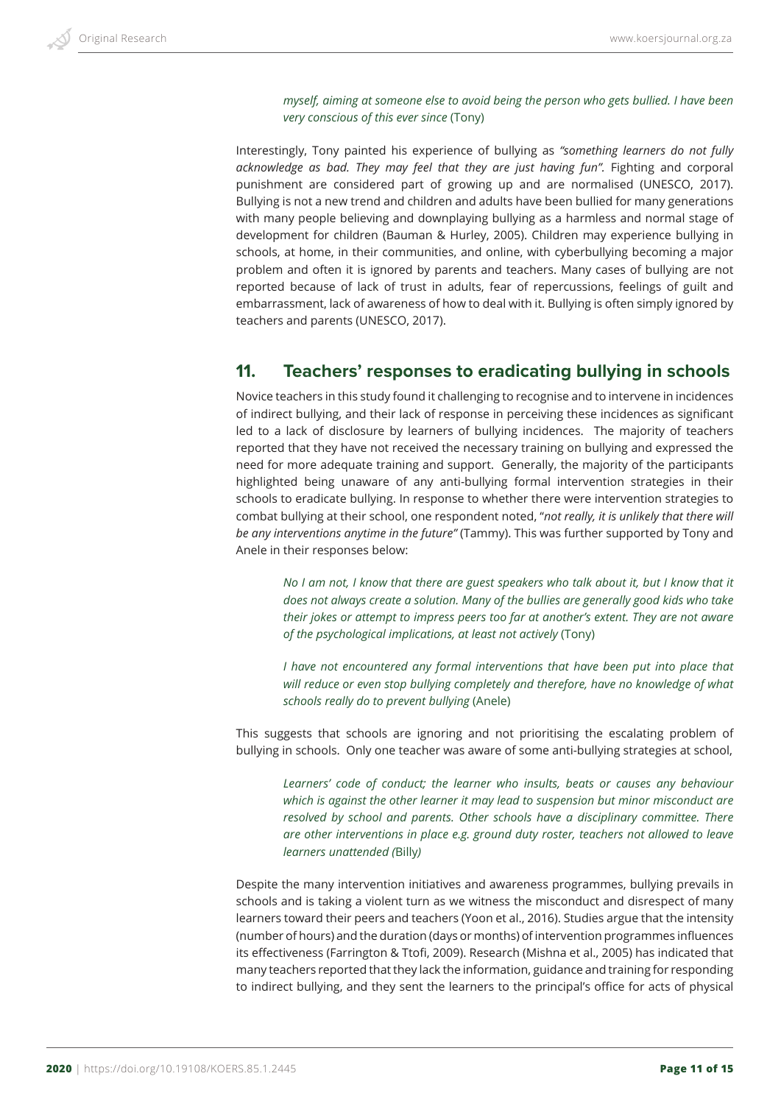*myself, aiming at someone else to avoid being the person who gets bullied. I have been very conscious of this ever since* (Tony)

Interestingly, Tony painted his experience of bullying as *"something learners do not fully acknowledge as bad. They may feel that they are just having fun".* Fighting and corporal punishment are considered part of growing up and are normalised (UNESCO, 2017). Bullying is not a new trend and children and adults have been bullied for many generations with many people believing and downplaying bullying as a harmless and normal stage of development for children (Bauman & Hurley, 2005). Children may experience bullying in schools, at home, in their communities, and online, with cyberbullying becoming a major problem and often it is ignored by parents and teachers. Many cases of bullying are not reported because of lack of trust in adults, fear of repercussions, feelings of guilt and embarrassment, lack of awareness of how to deal with it. Bullying is often simply ignored by teachers and parents (UNESCO, 2017).

# **11. Teachers' responses to eradicating bullying in schools**

Novice teachers in this study found it challenging to recognise and to intervene in incidences of indirect bullying, and their lack of response in perceiving these incidences as significant led to a lack of disclosure by learners of bullying incidences. The majority of teachers reported that they have not received the necessary training on bullying and expressed the need for more adequate training and support. Generally, the majority of the participants highlighted being unaware of any anti-bullying formal intervention strategies in their schools to eradicate bullying. In response to whether there were intervention strategies to combat bullying at their school, one respondent noted, "*not really, it is unlikely that there will be any interventions anytime in the future"* (Tammy). This was further supported by Tony and Anele in their responses below:

*No I am not, I know that there are guest speakers who talk about it, but I know that it does not always create a solution. Many of the bullies are generally good kids who take their jokes or attempt to impress peers too far at another's extent. They are not aware of the psychological implications, at least not actively* (Tony)

*I have not encountered any formal interventions that have been put into place that will reduce or even stop bullying completely and therefore, have no knowledge of what schools really do to prevent bullying* (Anele)

This suggests that schools are ignoring and not prioritising the escalating problem of bullying in schools. Only one teacher was aware of some anti-bullying strategies at school,

*Learners' code of conduct; the learner who insults, beats or causes any behaviour which is against the other learner it may lead to suspension but minor misconduct are resolved by school and parents. Other schools have a disciplinary committee. There are other interventions in place e.g. ground duty roster, teachers not allowed to leave learners unattended (*Billy*)*

Despite the many intervention initiatives and awareness programmes, bullying prevails in schools and is taking a violent turn as we witness the misconduct and disrespect of many learners toward their peers and teachers (Yoon et al., 2016). Studies argue that the intensity (number of hours) and the duration (days or months) of intervention programmes influences its effectiveness (Farrington & Ttofi, 2009). Research (Mishna et al., 2005) has indicated that many teachers reported that they lack the information, guidance and training for responding to indirect bullying, and they sent the learners to the principal's office for acts of physical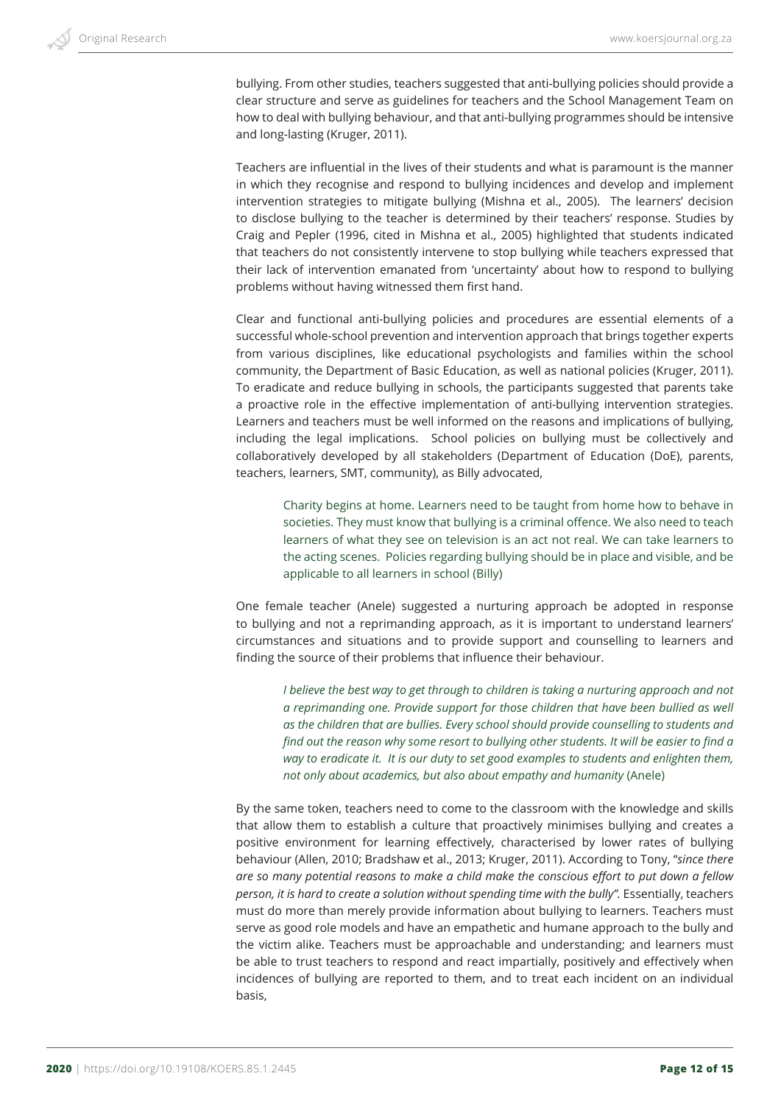bullying. From other studies, teachers suggested that anti-bullying policies should provide a clear structure and serve as guidelines for teachers and the School Management Team on how to deal with bullying behaviour, and that anti-bullying programmes should be intensive and long-lasting (Kruger, 2011).

Teachers are influential in the lives of their students and what is paramount is the manner in which they recognise and respond to bullying incidences and develop and implement intervention strategies to mitigate bullying (Mishna et al., 2005). The learners' decision to disclose bullying to the teacher is determined by their teachers' response. Studies by Craig and Pepler (1996, cited in Mishna et al., 2005) highlighted that students indicated that teachers do not consistently intervene to stop bullying while teachers expressed that their lack of intervention emanated from 'uncertainty' about how to respond to bullying problems without having witnessed them first hand.

Clear and functional anti-bullying policies and procedures are essential elements of a successful whole-school prevention and intervention approach that brings together experts from various disciplines, like educational psychologists and families within the school community, the Department of Basic Education, as well as national policies (Kruger, 2011). To eradicate and reduce bullying in schools, the participants suggested that parents take a proactive role in the effective implementation of anti-bullying intervention strategies. Learners and teachers must be well informed on the reasons and implications of bullying, including the legal implications. School policies on bullying must be collectively and collaboratively developed by all stakeholders (Department of Education (DoE), parents, teachers, learners, SMT, community), as Billy advocated,

Charity begins at home. Learners need to be taught from home how to behave in societies. They must know that bullying is a criminal offence. We also need to teach learners of what they see on television is an act not real. We can take learners to the acting scenes. Policies regarding bullying should be in place and visible, and be applicable to all learners in school (Billy)

One female teacher (Anele) suggested a nurturing approach be adopted in response to bullying and not a reprimanding approach, as it is important to understand learners' circumstances and situations and to provide support and counselling to learners and finding the source of their problems that influence their behaviour.

*I* believe the best way to get through to children is taking a nurturing approach and not *a reprimanding one. Provide support for those children that have been bullied as well as the children that are bullies. Every school should provide counselling to students and find out the reason why some resort to bullying other students. It will be easier to find a way to eradicate it. It is our duty to set good examples to students and enlighten them, not only about academics, but also about empathy and humanity* (Anele)

By the same token, teachers need to come to the classroom with the knowledge and skills that allow them to establish a culture that proactively minimises bullying and creates a positive environment for learning effectively, characterised by lower rates of bullying behaviour (Allen, 2010; Bradshaw et al., 2013; Kruger, 2011). According to Tony, "*since there are so many potential reasons to make a child make the conscious effort to put down a fellow person, it is hard to create a solution without spending time with the bully".* Essentially, teachers must do more than merely provide information about bullying to learners. Teachers must serve as good role models and have an empathetic and humane approach to the bully and the victim alike. Teachers must be approachable and understanding; and learners must be able to trust teachers to respond and react impartially, positively and effectively when incidences of bullying are reported to them, and to treat each incident on an individual basis,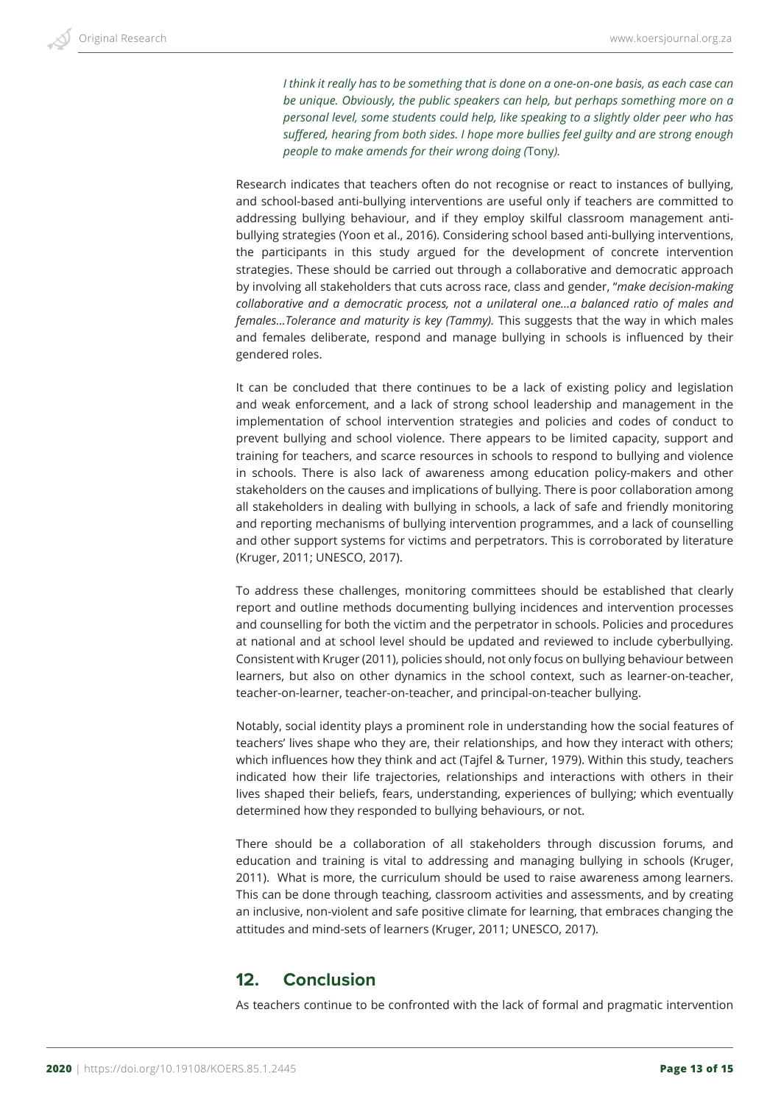*I think it really has to be something that is done on a one-on-one basis, as each case can be unique. Obviously, the public speakers can help, but perhaps something more on a personal level, some students could help, like speaking to a slightly older peer who has suffered, hearing from both sides. I hope more bullies feel guilty and are strong enough people to make amends for their wrong doing (*Tony*).*

Research indicates that teachers often do not recognise or react to instances of bullying, and school-based anti-bullying interventions are useful only if teachers are committed to addressing bullying behaviour, and if they employ skilful classroom management antibullying strategies (Yoon et al., 2016). Considering school based anti-bullying interventions, the participants in this study argued for the development of concrete intervention strategies. These should be carried out through a collaborative and democratic approach by involving all stakeholders that cuts across race, class and gender, "*make decision-making collaborative and a democratic process, not a unilateral one…a balanced ratio of males and females…Tolerance and maturity is key (Tammy).* This suggests that the way in which males and females deliberate, respond and manage bullying in schools is influenced by their gendered roles.

It can be concluded that there continues to be a lack of existing policy and legislation and weak enforcement, and a lack of strong school leadership and management in the implementation of school intervention strategies and policies and codes of conduct to prevent bullying and school violence. There appears to be limited capacity, support and training for teachers, and scarce resources in schools to respond to bullying and violence in schools. There is also lack of awareness among education policy-makers and other stakeholders on the causes and implications of bullying. There is poor collaboration among all stakeholders in dealing with bullying in schools, a lack of safe and friendly monitoring and reporting mechanisms of bullying intervention programmes, and a lack of counselling and other support systems for victims and perpetrators. This is corroborated by literature (Kruger, 2011; UNESCO, 2017).

To address these challenges, monitoring committees should be established that clearly report and outline methods documenting bullying incidences and intervention processes and counselling for both the victim and the perpetrator in schools. Policies and procedures at national and at school level should be updated and reviewed to include cyberbullying. Consistent with Kruger (2011), policies should, not only focus on bullying behaviour between learners, but also on other dynamics in the school context, such as learner-on-teacher, teacher-on-learner, teacher-on-teacher, and principal-on-teacher bullying.

Notably, social identity plays a prominent role in understanding how the social features of teachers' lives shape who they are, their relationships, and how they interact with others; which influences how they think and act (Tajfel & Turner, 1979). Within this study, teachers indicated how their life trajectories, relationships and interactions with others in their lives shaped their beliefs, fears, understanding, experiences of bullying; which eventually determined how they responded to bullying behaviours, or not.

There should be a collaboration of all stakeholders through discussion forums, and education and training is vital to addressing and managing bullying in schools (Kruger, 2011). What is more, the curriculum should be used to raise awareness among learners. This can be done through teaching, classroom activities and assessments, and by creating an inclusive, non-violent and safe positive climate for learning, that embraces changing the attitudes and mind-sets of learners (Kruger, 2011; UNESCO, 2017).

# **12. Conclusion**

As teachers continue to be confronted with the lack of formal and pragmatic intervention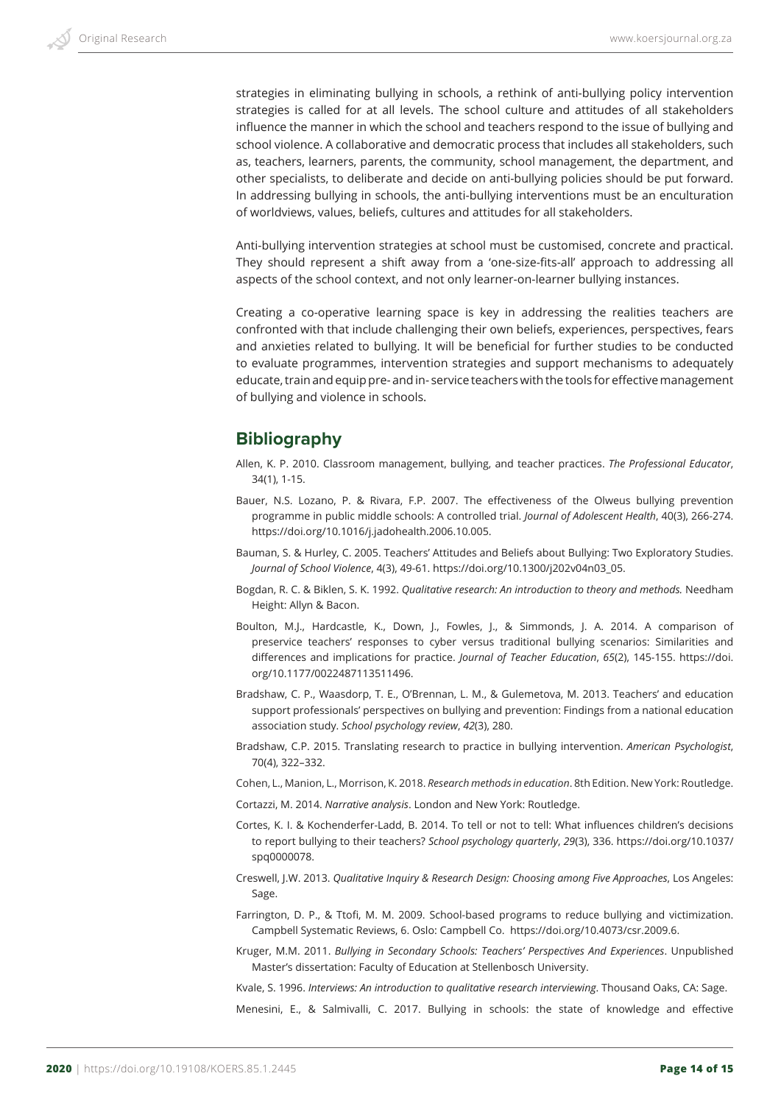strategies in eliminating bullying in schools, a rethink of anti-bullying policy intervention strategies is called for at all levels. The school culture and attitudes of all stakeholders influence the manner in which the school and teachers respond to the issue of bullying and school violence. A collaborative and democratic process that includes all stakeholders, such as, teachers, learners, parents, the community, school management, the department, and other specialists, to deliberate and decide on anti-bullying policies should be put forward. In addressing bullying in schools, the anti-bullying interventions must be an enculturation of worldviews, values, beliefs, cultures and attitudes for all stakeholders.

Anti-bullying intervention strategies at school must be customised, concrete and practical. They should represent a shift away from a 'one-size-fits-all' approach to addressing all aspects of the school context, and not only learner-on-learner bullying instances.

Creating a co-operative learning space is key in addressing the realities teachers are confronted with that include challenging their own beliefs, experiences, perspectives, fears and anxieties related to bullying. It will be beneficial for further studies to be conducted to evaluate programmes, intervention strategies and support mechanisms to adequately educate, train and equip pre- and in- service teachers with the tools for effective management of bullying and violence in schools.

# **Bibliography**

- Allen, K. P. 2010. Classroom management, bullying, and teacher practices. *The Professional Educator*, 34(1), 1-15.
- Bauer, N.S. Lozano, P. & Rivara, F.P. 2007. The effectiveness of the Olweus bullying prevention programme in public middle schools: A controlled trial. *Journal of Adolescent Health*, 40(3), 266-274. https://doi.org/10.1016/j.jadohealth.2006.10.005.
- Bauman, S. & Hurley, C. 2005. Teachers' Attitudes and Beliefs about Bullying: Two Exploratory Studies. *Journal of School Violence*, 4(3), 49-61. https://doi.org/10.1300/j202v04n03\_05.
- Bogdan, R. C. & Biklen, S. K. 1992. *Qualitative research: An introduction to theory and methods.* Needham Height: Allyn & Bacon.
- Boulton, M.J., Hardcastle, K., Down, J., Fowles, J., & Simmonds, J. A. 2014. A comparison of preservice teachers' responses to cyber versus traditional bullying scenarios: Similarities and differences and implications for practice. *Journal of Teacher Education*, *65*(2), 145-155. https://doi. org/10.1177/0022487113511496.
- Bradshaw, C. P., Waasdorp, T. E., O'Brennan, L. M., & Gulemetova, M. 2013. Teachers' and education support professionals' perspectives on bullying and prevention: Findings from a national education association study. *School psychology review*, *42*(3), 280.
- Bradshaw, C.P. 2015. Translating research to practice in bullying intervention. *American Psychologist*, 70(4), 322–332.
- Cohen, L., Manion, L., Morrison, K. 2018. *Research methods in education*. 8th Edition. New York: Routledge.
- Cortazzi, M. 2014. *Narrative analysis*. London and New York: Routledge.
- Cortes, K. I. & Kochenderfer-Ladd, B. 2014. To tell or not to tell: What influences children's decisions to report bullying to their teachers? *School psychology quarterly*, *29*(3), 336. https://doi.org/10.1037/ spq0000078.
- Creswell, J.W. 2013. *Qualitative Inquiry & Research Design: Choosing among Five Approaches*, Los Angeles: Sage.
- Farrington, D. P., & Ttofi, M. M. 2009. School-based programs to reduce bullying and victimization. Campbell Systematic Reviews, 6. Oslo: Campbell Co. https://doi.org/10.4073/csr.2009.6.
- Kruger, M.M. 2011. *Bullying in Secondary Schools: Teachers' Perspectives And Experiences*. Unpublished Master's dissertation: Faculty of Education at Stellenbosch University.
- Kvale, S. 1996. *Interviews: An introduction to qualitative research interviewing*. Thousand Oaks, CA: Sage.

Menesini, E., & Salmivalli, C. 2017. Bullying in schools: the state of knowledge and effective